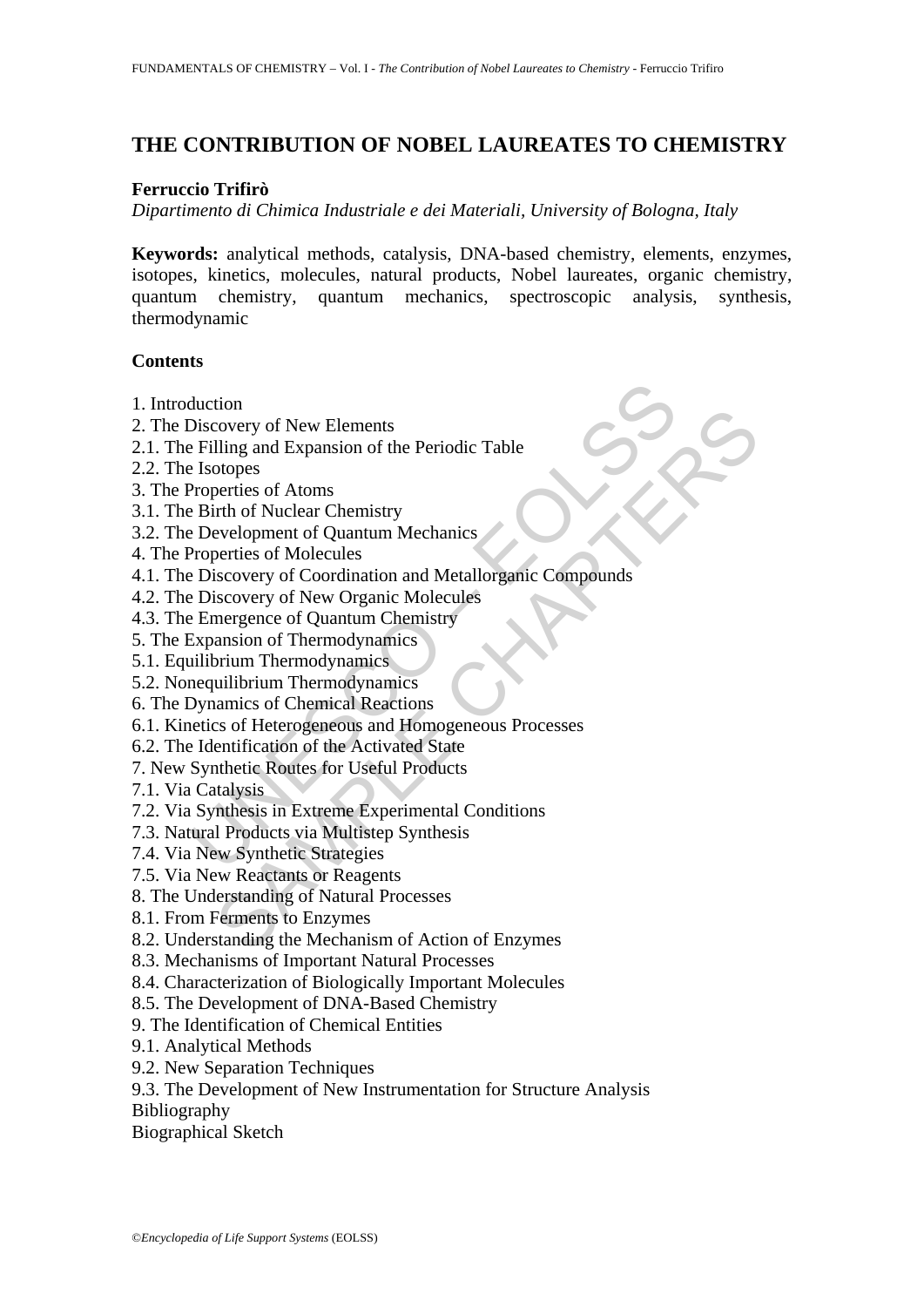# **THE CONTRIBUTION OF NOBEL LAUREATES TO CHEMISTRY**

#### **Ferruccio Trifirò**

*Dipartimento di Chimica Industriale e dei Materiali, University of Bologna, Italy*

**Keywords:** analytical methods, catalysis, DNA-based chemistry, elements, enzymes, isotopes, kinetics, molecules, natural products, Nobel laureates, organic chemistry, quantum chemistry, quantum mechanics, spectroscopic analysis, synthesis, thermodynamic

#### **Contents**

- 1. Introduction
- 2. The Discovery of New Elements
- 2.1. The Filling and Expansion of the Periodic Table
- 2.2. The Isotopes
- 3. The Properties of Atoms
- 3.1. The Birth of Nuclear Chemistry
- 3.2. The Development of Quantum Mechanics
- 4. The Properties of Molecules
- duction<br>
Discovery of New Elements<br>
Filling and Expansion of the Periodic Table<br>
Elsotopes<br>
Properties of Atoms<br>
Properties of Atoms<br>
Properties of Molecules<br>
Properties of Molecules<br>
Properties of Molecules<br>
Properties of non<br>
covery of New Elements<br>
ling and Expansion of the Periodic Table<br>
orloges<br>
cotries of Atoms<br>
trith of Nuclear Chemistry<br>
trith of Nuclear Chemistry<br>
evelopment of Quantum Mechanics<br>
iscovery of Nore Organic Molecules<br> 4.1. The Discovery of Coordination and Metallorganic Compounds
- 4.2. The Discovery of New Organic Molecules
- 4.3. The Emergence of Quantum Chemistry
- 5. The Expansion of Thermodynamics
- 5.1. Equilibrium Thermodynamics
- 5.2. Nonequilibrium Thermodynamics
- 6. The Dynamics of Chemical Reactions
- 6.1. Kinetics of Heterogeneous and Homogeneous Processes
- 6.2. The Identification of the Activated State
- 7. New Synthetic Routes for Useful Products
- 7.1. Via Catalysis
- 7.2. Via Synthesis in Extreme Experimental Conditions
- 7.3. Natural Products via Multistep Synthesis
- 7.4. Via New Synthetic Strategies
- 7.5. Via New Reactants or Reagents
- 8. The Understanding of Natural Processes
- 8.1. From Ferments to Enzymes
- 8.2. Understanding the Mechanism of Action of Enzymes
- 8.3. Mechanisms of Important Natural Processes
- 8.4. Characterization of Biologically Important Molecules
- 8.5. The Development of DNA-Based Chemistry
- 9. The Identification of Chemical Entities
- 9.1. Analytical Methods
- 9.2. New Separation Techniques
- 9.3. The Development of New Instrumentation for Structure Analysis
- Bibliography
- Biographical Sketch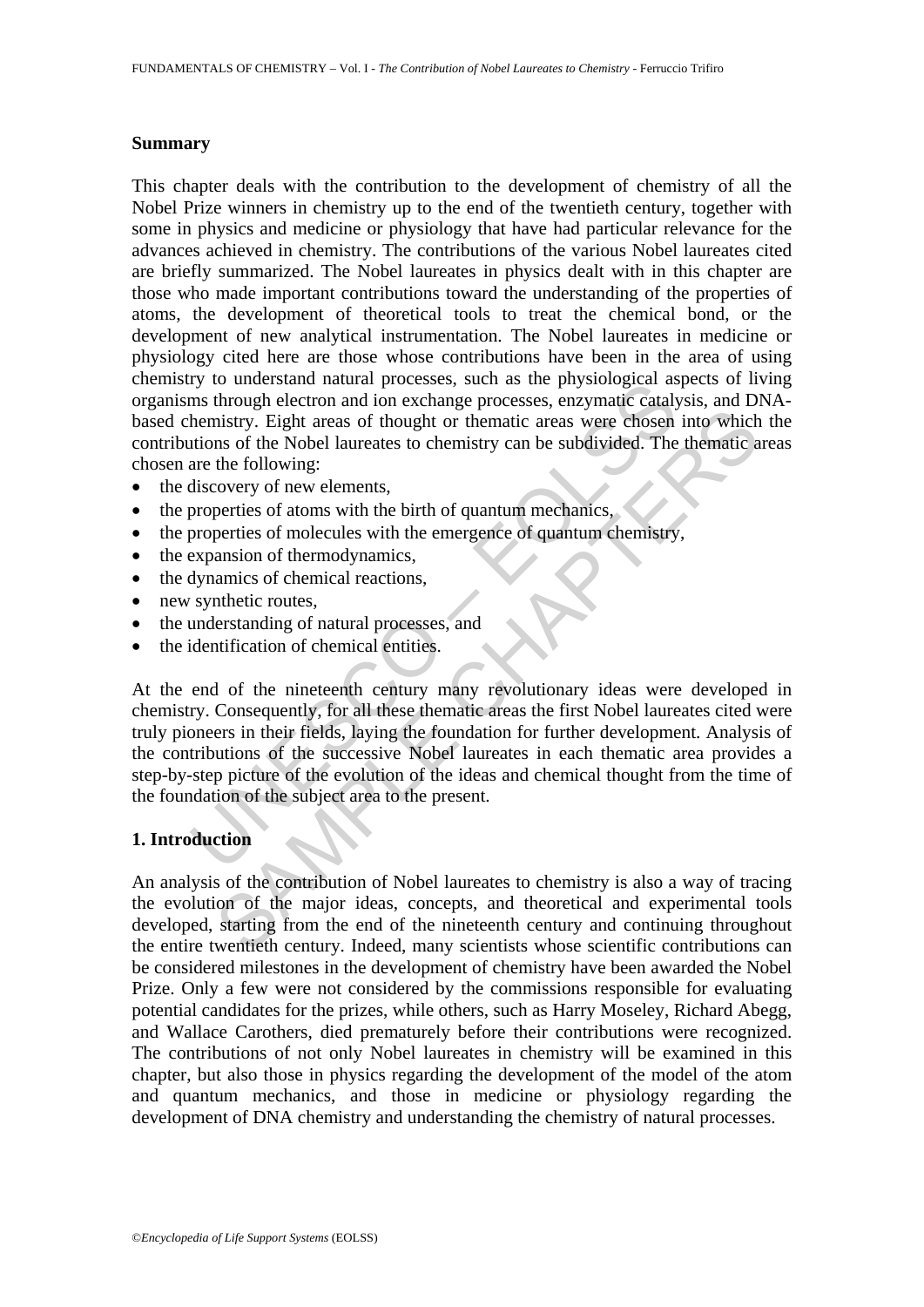#### **Summary**

This chapter deals with the contribution to the development of chemistry of all the Nobel Prize winners in chemistry up to the end of the twentieth century, together with some in physics and medicine or physiology that have had particular relevance for the advances achieved in chemistry. The contributions of the various Nobel laureates cited are briefly summarized. The Nobel laureates in physics dealt with in this chapter are those who made important contributions toward the understanding of the properties of atoms, the development of theoretical tools to treat the chemical bond, or the development of new analytical instrumentation. The Nobel laureates in medicine or physiology cited here are those whose contributions have been in the area of using chemistry to understand natural processes, such as the physiological aspects of living organisms through electron and ion exchange processes, enzymatic catalysis, and DNAbased chemistry. Eight areas of thought or thematic areas were chosen into which the contributions of the Nobel laureates to chemistry can be subdivided. The thematic areas chosen are the following:

- the discovery of new elements,
- the properties of atoms with the birth of quantum mechanics,
- the properties of molecules with the emergence of quantum chemistry,
- the expansion of thermodynamics.
- the dynamics of chemical reactions,
- new synthetic routes,
- the understanding of natural processes, and
- the identification of chemical entities.

The mustaked natural processes, such as the physiological as<br>the ministry. Eight areas of hought or the ministry. Eight areas of hought or the Nobel laureates to chemistry can be subdivided. The<br>are the following:<br>discover mistry. Eight areas of thought or thematic areas were chosen into which<br>mistry. Eight areas of thought or thematic areas were chosen into which<br>as of the Nobel laureates to chemistry can be subdivided. The thematic a<br>cover At the end of the nineteenth century many revolutionary ideas were developed in chemistry. Consequently, for all these thematic areas the first Nobel laureates cited were truly pioneers in their fields, laying the foundation for further development. Analysis of the contributions of the successive Nobel laureates in each thematic area provides a step-by-step picture of the evolution of the ideas and chemical thought from the time of the foundation of the subject area to the present.

### **1. Introduction**

An analysis of the contribution of Nobel laureates to chemistry is also a way of tracing the evolution of the major ideas, concepts, and theoretical and experimental tools developed, starting from the end of the nineteenth century and continuing throughout the entire twentieth century. Indeed, many scientists whose scientific contributions can be considered milestones in the development of chemistry have been awarded the Nobel Prize. Only a few were not considered by the commissions responsible for evaluating potential candidates for the prizes, while others, such as Harry Moseley, Richard Abegg, and Wallace Carothers, died prematurely before their contributions were recognized. The contributions of not only Nobel laureates in chemistry will be examined in this chapter, but also those in physics regarding the development of the model of the atom and quantum mechanics, and those in medicine or physiology regarding the development of DNA chemistry and understanding the chemistry of natural processes.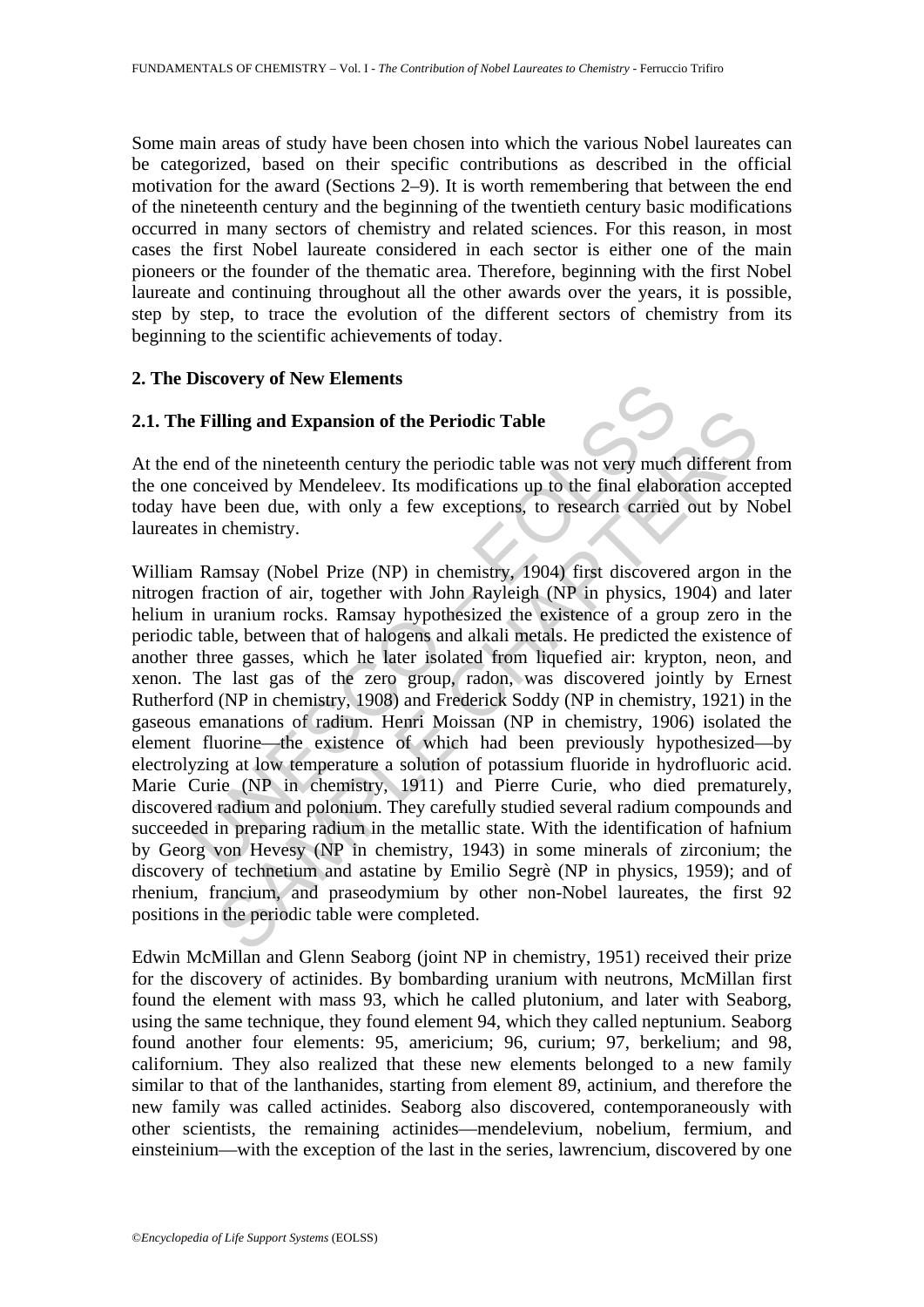Some main areas of study have been chosen into which the various Nobel laureates can be categorized, based on their specific contributions as described in the official motivation for the award (Sections 2–9). It is worth remembering that between the end of the nineteenth century and the beginning of the twentieth century basic modifications occurred in many sectors of chemistry and related sciences. For this reason, in most cases the first Nobel laureate considered in each sector is either one of the main pioneers or the founder of the thematic area. Therefore, beginning with the first Nobel laureate and continuing throughout all the other awards over the years, it is possible, step by step, to trace the evolution of the different sectors of chemistry from its beginning to the scientific achievements of today.

#### **2. The Discovery of New Elements**

### **2.1. The Filling and Expansion of the Periodic Table**

At the end of the nineteenth century the periodic table was not very much different from the one conceived by Mendeleev. Its modifications up to the final elaboration accepted today have been due, with only a few exceptions, to research carried out by Nobel laureates in chemistry.

**Example 16** and **Expansion of the Periodic Table**<br> **Expansion of the Periodic Table**<br>
and of the nineteenth century the periodic table was not very much<br>
conceived by Mendeleev. Its modifications up to the final elaboo<br>
a illing and Expansion of the Periodic Table<br>of the nineteenth century the periodic Table<br>of the nineteenth century the periodic table was not very much different<br>necived by Mendeleev. Its modifications up to the final elabo William Ramsay (Nobel Prize (NP) in chemistry, 1904) first discovered argon in the nitrogen fraction of air, together with John Rayleigh (NP in physics, 1904) and later helium in uranium rocks. Ramsay hypothesized the existence of a group zero in the periodic table, between that of halogens and alkali metals. He predicted the existence of another three gasses, which he later isolated from liquefied air: krypton, neon, and xenon. The last gas of the zero group, radon, was discovered jointly by Ernest Rutherford (NP in chemistry, 1908) and Frederick Soddy (NP in chemistry, 1921) in the gaseous emanations of radium. Henri Moissan (NP in chemistry, 1906) isolated the element fluorine—the existence of which had been previously hypothesized—by electrolyzing at low temperature a solution of potassium fluoride in hydrofluoric acid. Marie Curie (NP in chemistry, 1911) and Pierre Curie, who died prematurely, discovered radium and polonium. They carefully studied several radium compounds and succeeded in preparing radium in the metallic state. With the identification of hafnium by Georg von Hevesy (NP in chemistry, 1943) in some minerals of zirconium; the discovery of technetium and astatine by Emilio Segrè (NP in physics, 1959); and of rhenium, francium, and praseodymium by other non-Nobel laureates, the first 92 positions in the periodic table were completed.

Edwin McMillan and Glenn Seaborg (joint NP in chemistry, 1951) received their prize for the discovery of actinides. By bombarding uranium with neutrons, McMillan first found the element with mass 93, which he called plutonium, and later with Seaborg, using the same technique, they found element 94, which they called neptunium. Seaborg found another four elements: 95, americium; 96, curium; 97, berkelium; and 98, californium. They also realized that these new elements belonged to a new family similar to that of the lanthanides, starting from element 89, actinium, and therefore the new family was called actinides. Seaborg also discovered, contemporaneously with other scientists, the remaining actinides—mendelevium, nobelium, fermium, and einsteinium—with the exception of the last in the series, lawrencium, discovered by one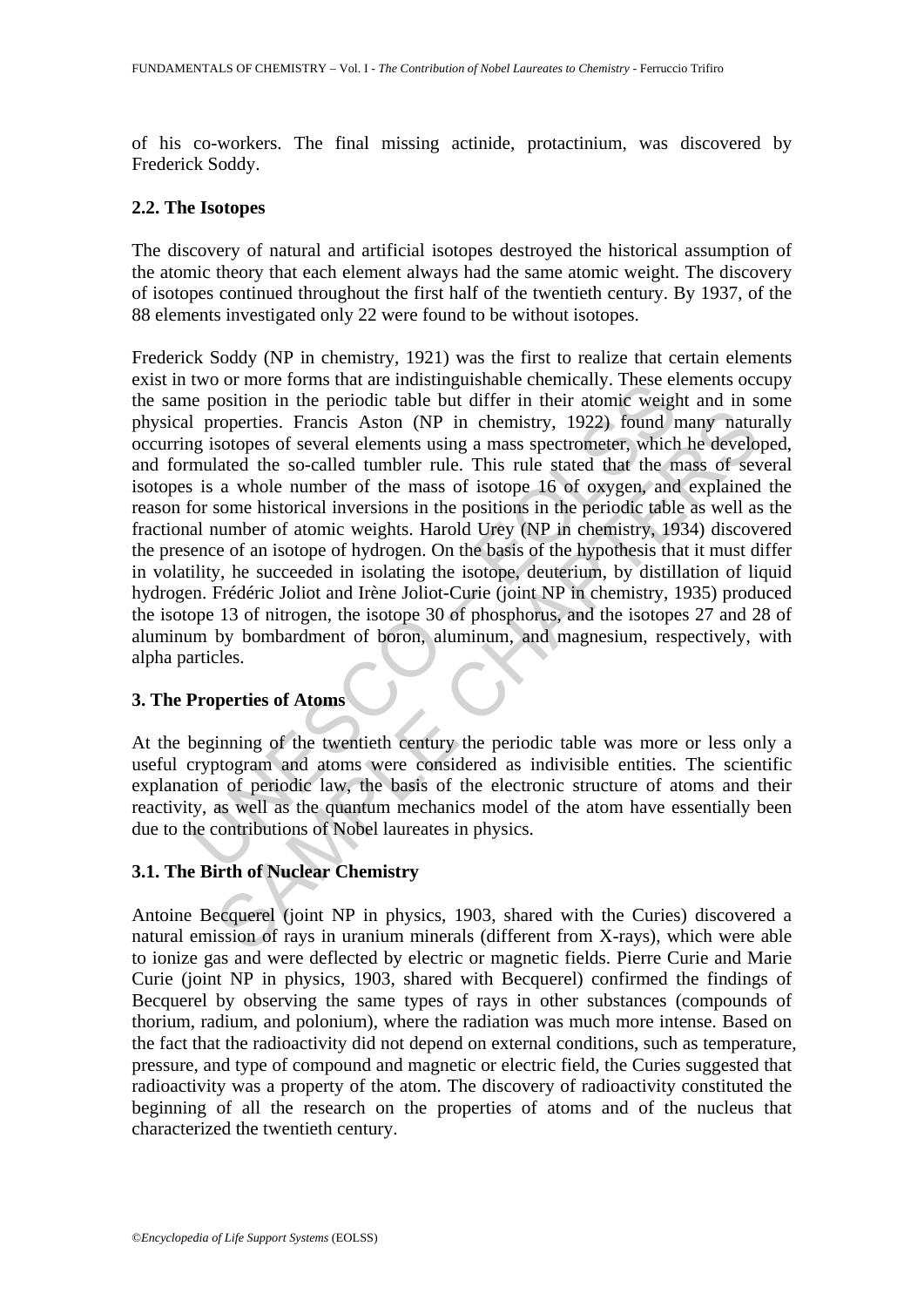of his co-workers. The final missing actinide, protactinium, was discovered by Frederick Soddy.

#### **2.2. The Isotopes**

The discovery of natural and artificial isotopes destroyed the historical assumption of the atomic theory that each element always had the same atomic weight. The discovery of isotopes continued throughout the first half of the twentieth century. By 1937, of the 88 elements investigated only 22 were found to be without isotopes.

Wo of more forms una are musulaysizant centeration. These ein<br>the position in the periodic table but differ in their atom weight<br>I properties. Francis Aston (NP in chemistry, 1922) found r<br>g isotopes of several elements us SAMPLE CHAPTERS Frederick Soddy (NP in chemistry, 1921) was the first to realize that certain elements exist in two or more forms that are indistinguishable chemically. These elements occupy the same position in the periodic table but differ in their atomic weight and in some physical properties. Francis Aston (NP in chemistry, 1922) found many naturally occurring isotopes of several elements using a mass spectrometer, which he developed, and formulated the so-called tumbler rule. This rule stated that the mass of several isotopes is a whole number of the mass of isotope 16 of oxygen, and explained the reason for some historical inversions in the positions in the periodic table as well as the fractional number of atomic weights. Harold Urey (NP in chemistry, 1934) discovered the presence of an isotope of hydrogen. On the basis of the hypothesis that it must differ in volatility, he succeeded in isolating the isotope, deuterium, by distillation of liquid hydrogen. Frédéric Joliot and Irène Joliot-Curie (joint NP in chemistry, 1935) produced the isotope 13 of nitrogen, the isotope 30 of phosphorus, and the isotopes 27 and 28 of aluminum by bombardment of boron, aluminum, and magnesium, respectively, with alpha particles.

#### **3. The Properties of Atoms**

At the beginning of the twentieth century the periodic table was more or less only a useful cryptogram and atoms were considered as indivisible entities. The scientific explanation of periodic law, the basis of the electronic structure of atoms and their reactivity, as well as the quantum mechanics model of the atom have essentially been due to the contributions of Nobel laureates in physics.

### **3.1. The Birth of Nuclear Chemistry**

Antoine Becquerel (joint NP in physics, 1903, shared with the Curies) discovered a natural emission of rays in uranium minerals (different from X-rays), which were able to ionize gas and were deflected by electric or magnetic fields. Pierre Curie and Marie Curie (joint NP in physics, 1903, shared with Becquerel) confirmed the findings of Becquerel by observing the same types of rays in other substances (compounds of thorium, radium, and polonium), where the radiation was much more intense. Based on the fact that the radioactivity did not depend on external conditions, such as temperature, pressure, and type of compound and magnetic or electric field, the Curies suggested that radioactivity was a property of the atom. The discovery of radioactivity constituted the beginning of all the research on the properties of atoms and of the nucleus that characterized the twentieth century.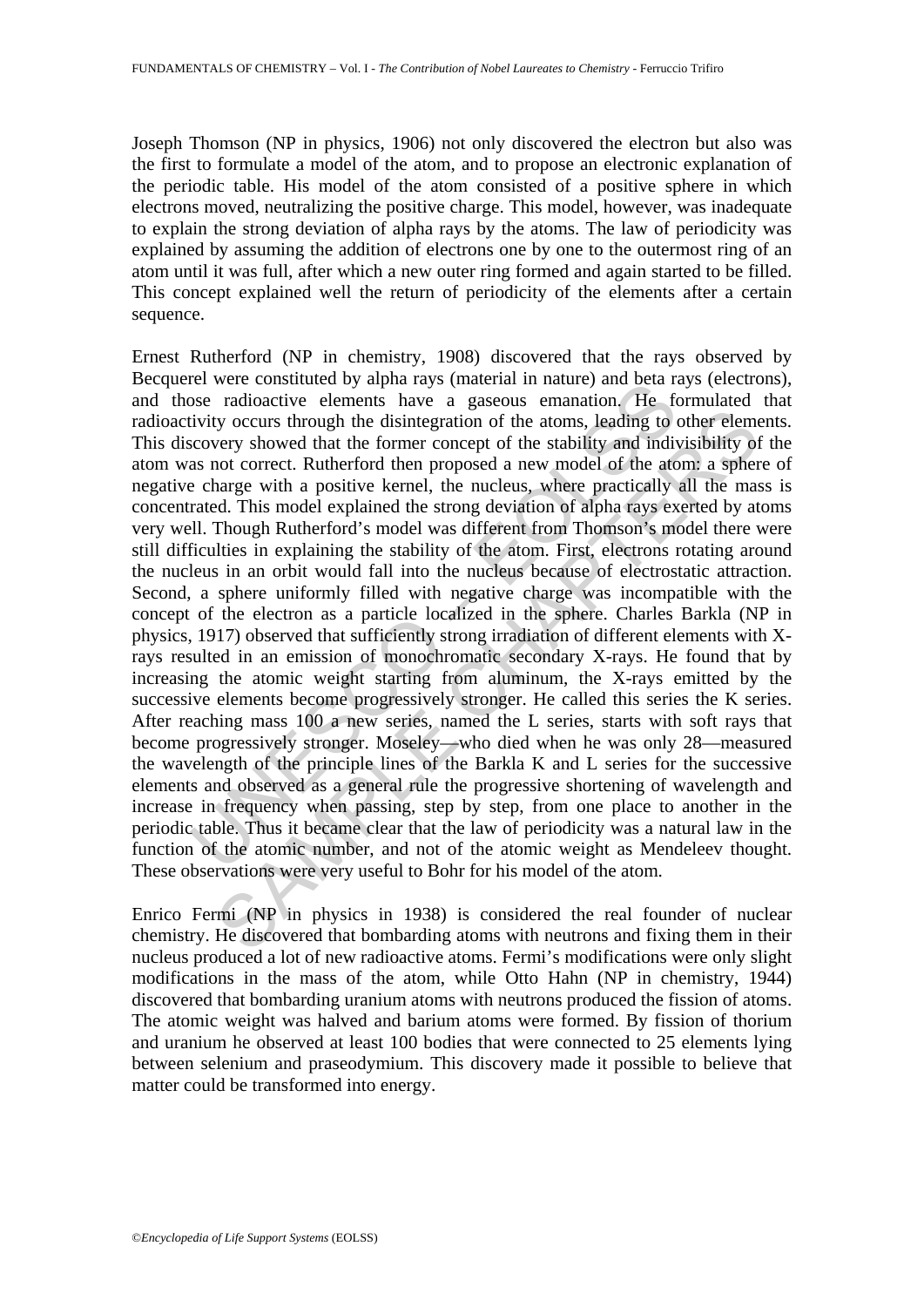Joseph Thomson (NP in physics, 1906) not only discovered the electron but also was the first to formulate a model of the atom, and to propose an electronic explanation of the periodic table. His model of the atom consisted of a positive sphere in which electrons moved, neutralizing the positive charge. This model, however, was inadequate to explain the strong deviation of alpha rays by the atoms. The law of periodicity was explained by assuming the addition of electrons one by one to the outermost ring of an atom until it was full, after which a new outer ring formed and again started to be filled. This concept explained well the return of periodicity of the elements after a certain sequence.

From two constructions with a range and beat a minitarily and beat a weed to the above radioactive elements have a gaseous emanation. He fervivity occurs through the disintegration of the atoms, leading to ecovery showed t ty occurs through the disintegration of the atoms, leading to other element wery showed that the former concept of the atability and indivisibility of correct. Rutherford then proposed a new model of the atom: a sphere wit Ernest Rutherford (NP in chemistry, 1908) discovered that the rays observed by Becquerel were constituted by alpha rays (material in nature) and beta rays (electrons), and those radioactive elements have a gaseous emanation. He formulated that radioactivity occurs through the disintegration of the atoms, leading to other elements. This discovery showed that the former concept of the stability and indivisibility of the atom was not correct. Rutherford then proposed a new model of the atom: a sphere of negative charge with a positive kernel, the nucleus, where practically all the mass is concentrated. This model explained the strong deviation of alpha rays exerted by atoms very well. Though Rutherford's model was different from Thomson's model there were still difficulties in explaining the stability of the atom. First, electrons rotating around the nucleus in an orbit would fall into the nucleus because of electrostatic attraction. Second, a sphere uniformly filled with negative charge was incompatible with the concept of the electron as a particle localized in the sphere. Charles Barkla (NP in physics, 1917) observed that sufficiently strong irradiation of different elements with Xrays resulted in an emission of monochromatic secondary X-rays. He found that by increasing the atomic weight starting from aluminum, the X-rays emitted by the successive elements become progressively stronger. He called this series the K series. After reaching mass 100 a new series, named the L series, starts with soft rays that become progressively stronger. Moseley—who died when he was only 28—measured the wavelength of the principle lines of the Barkla K and L series for the successive elements and observed as a general rule the progressive shortening of wavelength and increase in frequency when passing, step by step, from one place to another in the periodic table. Thus it became clear that the law of periodicity was a natural law in the function of the atomic number, and not of the atomic weight as Mendeleev thought. These observations were very useful to Bohr for his model of the atom.

Enrico Fermi (NP in physics in 1938) is considered the real founder of nuclear chemistry. He discovered that bombarding atoms with neutrons and fixing them in their nucleus produced a lot of new radioactive atoms. Fermi's modifications were only slight modifications in the mass of the atom, while Otto Hahn (NP in chemistry, 1944) discovered that bombarding uranium atoms with neutrons produced the fission of atoms. The atomic weight was halved and barium atoms were formed. By fission of thorium and uranium he observed at least 100 bodies that were connected to 25 elements lying between selenium and praseodymium. This discovery made it possible to believe that matter could be transformed into energy.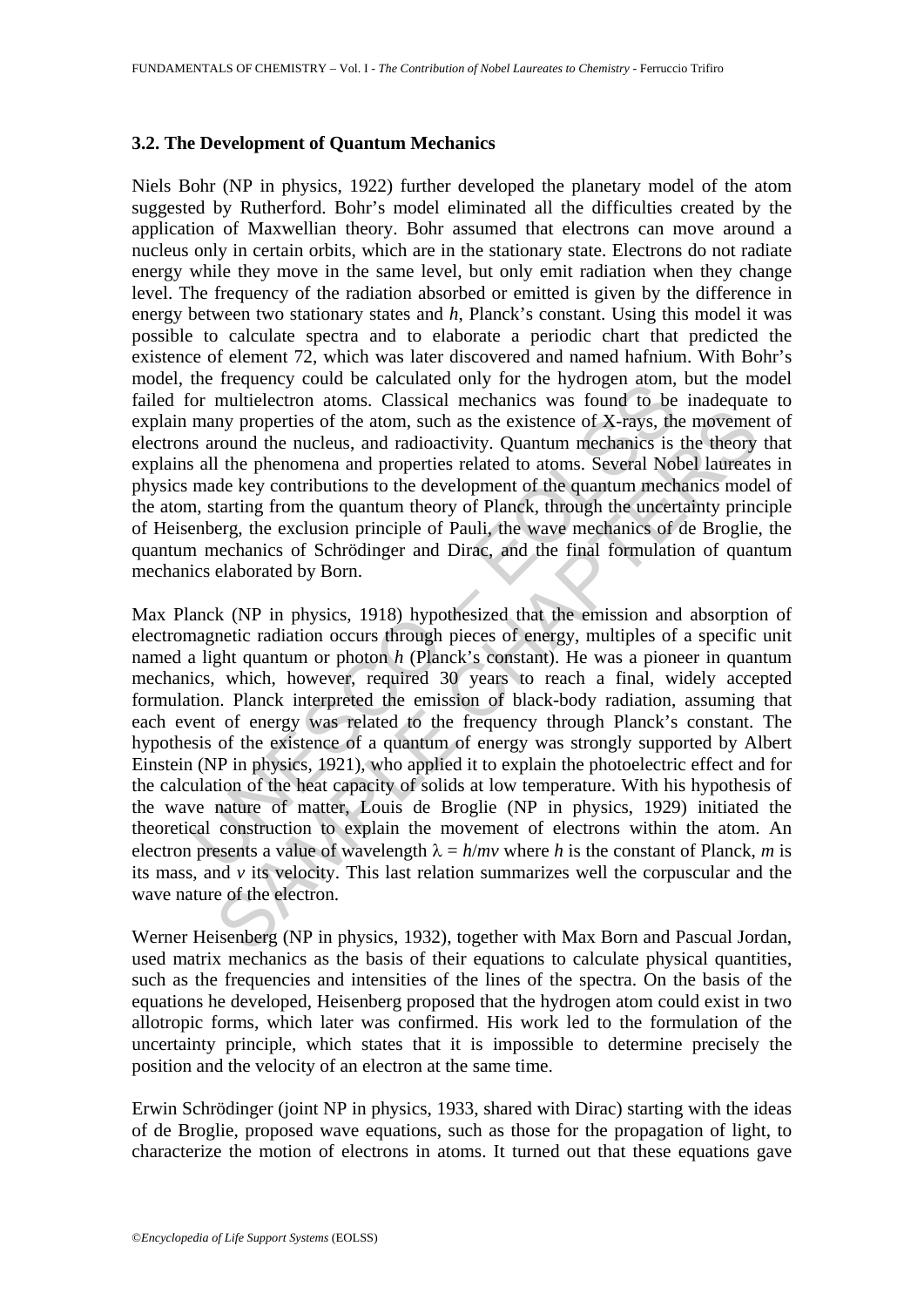#### **3.2. The Development of Quantum Mechanics**

Niels Bohr (NP in physics, 1922) further developed the planetary model of the atom suggested by Rutherford. Bohr's model eliminated all the difficulties created by the application of Maxwellian theory. Bohr assumed that electrons can move around a nucleus only in certain orbits, which are in the stationary state. Electrons do not radiate energy while they move in the same level, but only emit radiation when they change level. The frequency of the radiation absorbed or emitted is given by the difference in energy between two stationary states and *h*, Planck's constant. Using this model it was possible to calculate spectra and to elaborate a periodic chart that predicted the existence of element 72, which was later discovered and named hafnium. With Bohr's model, the frequency could be calculated only for the hydrogen atom, but the model failed for multielectron atoms. Classical mechanics was found to be inadequate to explain many properties of the atom, such as the existence of X-rays, the movement of electrons around the nucleus, and radioactivity. Quantum mechanics is the theory that explains all the phenomena and properties related to atoms. Several Nobel laureates in physics made key contributions to the development of the quantum mechanics model of the atom, starting from the quantum theory of Planck, through the uncertainty principle of Heisenberg, the exclusion principle of Pauli, the wave mechanics of de Broglie, the quantum mechanics of Schrödinger and Dirac, and the final formulation of quantum mechanics elaborated by Born.

the released of the concluded of the mixtube can be calculated only for multielectron atoms. Classical mechanics was found to be many properties of the atom, such as the existence of X-rays, the saround the nucleus, and r my properties of the atom, such as the existence of X-rays, the movement<br>round the nucleus, and radioactivity. Quantum mechanics is the theory<br>the phenomena and properties related to atoms. Several Nobel laureat<br>de key co Max Planck (NP in physics, 1918) hypothesized that the emission and absorption of electromagnetic radiation occurs through pieces of energy, multiples of a specific unit named a light quantum or photon *h* (Planck's constant). He was a pioneer in quantum mechanics, which, however, required 30 years to reach a final, widely accepted formulation. Planck interpreted the emission of black-body radiation, assuming that each event of energy was related to the frequency through Planck's constant. The hypothesis of the existence of a quantum of energy was strongly supported by Albert Einstein (NP in physics, 1921), who applied it to explain the photoelectric effect and for the calculation of the heat capacity of solids at low temperature. With his hypothesis of the wave nature of matter, Louis de Broglie (NP in physics, 1929) initiated the theoretical construction to explain the movement of electrons within the atom. An electron presents a value of wavelength  $\lambda = h/mv$  where *h* is the constant of Planck, *m* is its mass, and *v* its velocity. This last relation summarizes well the corpuscular and the wave nature of the electron.

Werner Heisenberg (NP in physics, 1932), together with Max Born and Pascual Jordan, used matrix mechanics as the basis of their equations to calculate physical quantities, such as the frequencies and intensities of the lines of the spectra. On the basis of the equations he developed, Heisenberg proposed that the hydrogen atom could exist in two allotropic forms, which later was confirmed. His work led to the formulation of the uncertainty principle, which states that it is impossible to determine precisely the position and the velocity of an electron at the same time.

Erwin Schrödinger (joint NP in physics, 1933, shared with Dirac) starting with the ideas of de Broglie, proposed wave equations, such as those for the propagation of light, to characterize the motion of electrons in atoms. It turned out that these equations gave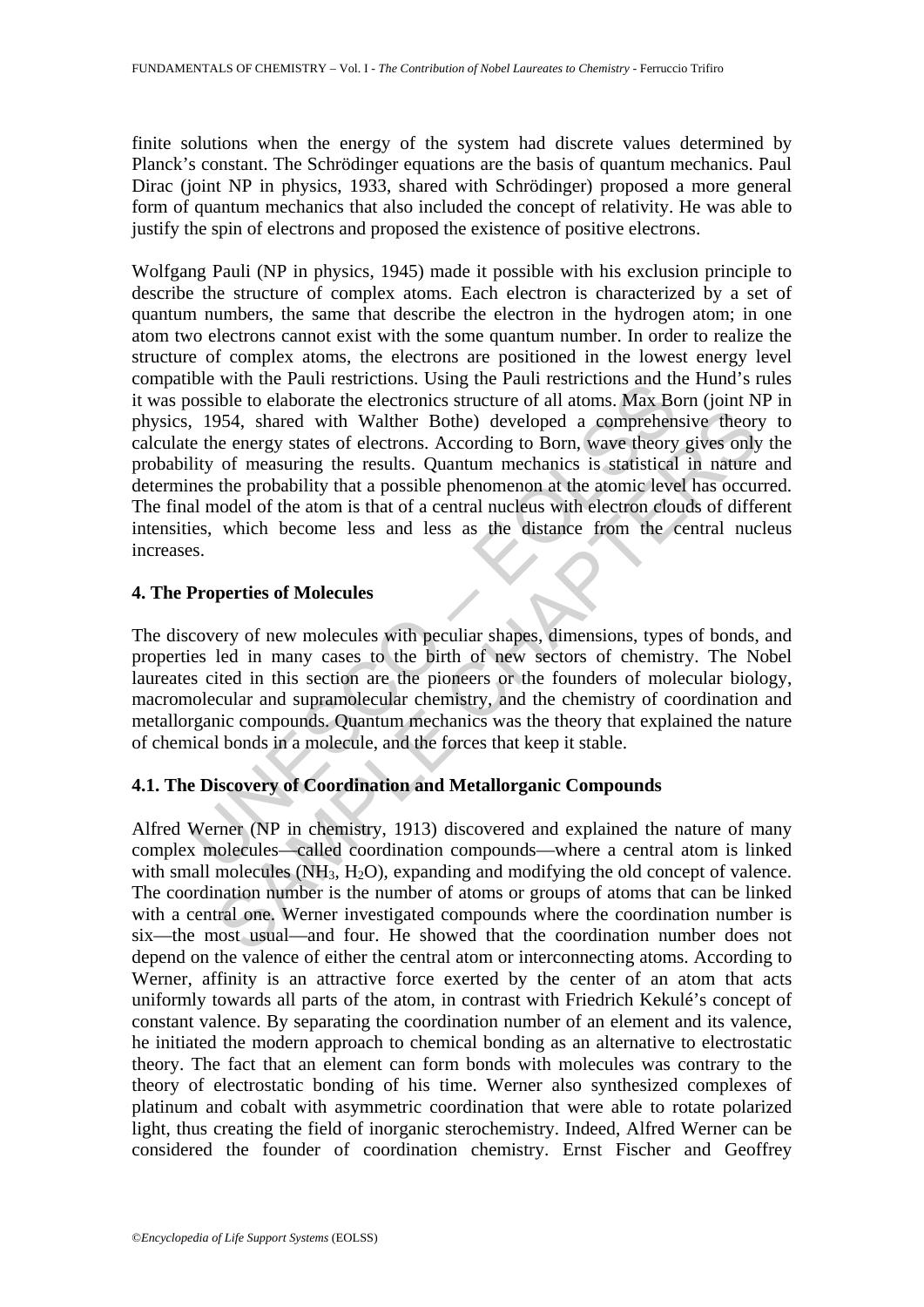finite solutions when the energy of the system had discrete values determined by Planck's constant. The Schrödinger equations are the basis of quantum mechanics. Paul Dirac (joint NP in physics, 1933, shared with Schrödinger) proposed a more general form of quantum mechanics that also included the concept of relativity. He was able to justify the spin of electrons and proposed the existence of positive electrons.

boxible to elaborate the electronics. Using the radius consisting the olaborate the electronics structure of all atoms. Max Boxisble to elaborate the electronics structure of all atoms. Max Boxisble to heavening the result 954, shared with Walther Bothe) developed a comprehensive theory<br>of the energy states of electrons. According to Born, wave theory gives only<br>of measuring the results. Quantum mechanics is statistical in nature<br>the probabi Wolfgang Pauli (NP in physics, 1945) made it possible with his exclusion principle to describe the structure of complex atoms. Each electron is characterized by a set of quantum numbers, the same that describe the electron in the hydrogen atom; in one atom two electrons cannot exist with the some quantum number. In order to realize the structure of complex atoms, the electrons are positioned in the lowest energy level compatible with the Pauli restrictions. Using the Pauli restrictions and the Hund's rules it was possible to elaborate the electronics structure of all atoms. Max Born (joint NP in physics, 1954, shared with Walther Bothe) developed a comprehensive theory to calculate the energy states of electrons. According to Born, wave theory gives only the probability of measuring the results. Quantum mechanics is statistical in nature and determines the probability that a possible phenomenon at the atomic level has occurred. The final model of the atom is that of a central nucleus with electron clouds of different intensities, which become less and less as the distance from the central nucleus increases.

#### **4. The Properties of Molecules**

The discovery of new molecules with peculiar shapes, dimensions, types of bonds, and properties led in many cases to the birth of new sectors of chemistry. The Nobel laureates cited in this section are the pioneers or the founders of molecular biology, macromolecular and supramolecular chemistry, and the chemistry of coordination and metallorganic compounds. Quantum mechanics was the theory that explained the nature of chemical bonds in a molecule, and the forces that keep it stable.

## **4.1. The Discovery of Coordination and Metallorganic Compounds**

Alfred Werner (NP in chemistry, 1913) discovered and explained the nature of many complex molecules—called coordination compounds—where a central atom is linked with small molecules  $(NH_3, H_2O)$ , expanding and modifying the old concept of valence. The coordination number is the number of atoms or groups of atoms that can be linked with a central one. Werner investigated compounds where the coordination number is six—the most usual—and four. He showed that the coordination number does not depend on the valence of either the central atom or interconnecting atoms. According to Werner, affinity is an attractive force exerted by the center of an atom that acts uniformly towards all parts of the atom, in contrast with Friedrich Kekulé's concept of constant valence. By separating the coordination number of an element and its valence, he initiated the modern approach to chemical bonding as an alternative to electrostatic theory. The fact that an element can form bonds with molecules was contrary to the theory of electrostatic bonding of his time. Werner also synthesized complexes of platinum and cobalt with asymmetric coordination that were able to rotate polarized light, thus creating the field of inorganic sterochemistry. Indeed, Alfred Werner can be considered the founder of coordination chemistry. Ernst Fischer and Geoffrey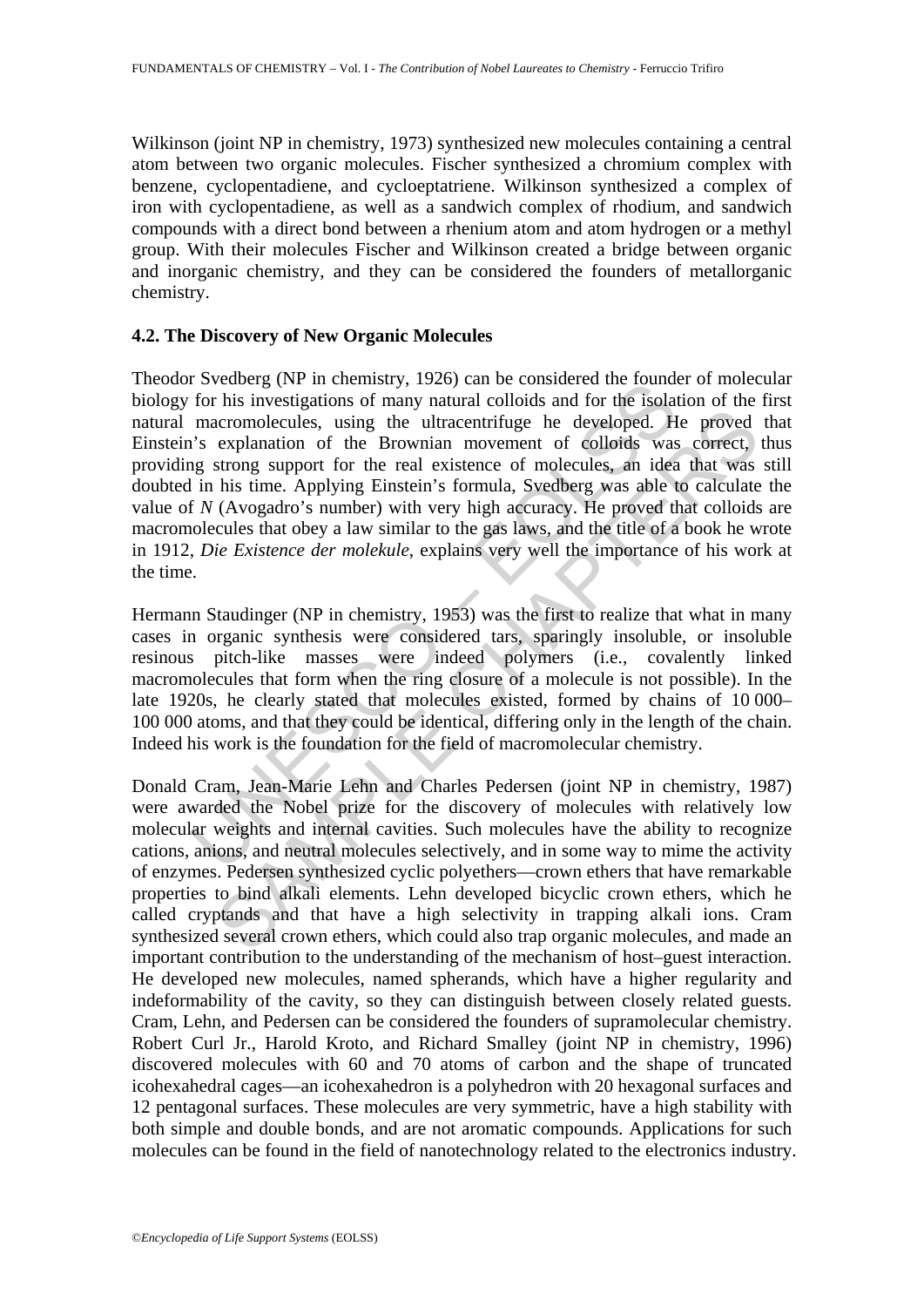Wilkinson (joint NP in chemistry, 1973) synthesized new molecules containing a central atom between two organic molecules. Fischer synthesized a chromium complex with benzene, cyclopentadiene, and cycloeptatriene. Wilkinson synthesized a complex of iron with cyclopentadiene, as well as a sandwich complex of rhodium, and sandwich compounds with a direct bond between a rhenium atom and atom hydrogen or a methyl group. With their molecules Fischer and Wilkinson created a bridge between organic and inorganic chemistry, and they can be considered the founders of metallorganic chemistry.

#### **4.2. The Discovery of New Organic Molecules**

I be considered the foundation of minimality, 1920 can be considered the foundation moreonlecules, using the ultracentrifuge he developed. Here macromolecules, using the ultracentrifuge he developed. Here macromolecules, u Theodor Svedberg (NP in chemistry, 1926) can be considered the founder of molecular biology for his investigations of many natural colloids and for the isolation of the first natural macromolecules, using the ultracentrifuge he developed. He proved that Einstein's explanation of the Brownian movement of colloids was correct, thus providing strong support for the real existence of molecules, an idea that was still doubted in his time. Applying Einstein's formula, Svedberg was able to calculate the value of *N* (Avogadro's number) with very high accuracy. He proved that colloids are macromolecules that obey a law similar to the gas laws, and the title of a book he wrote in 1912, *Die Existence der molekule*, explains very well the importance of his work at the time.

Hermann Staudinger (NP in chemistry, 1953) was the first to realize that what in many cases in organic synthesis were considered tars, sparingly insoluble, or insoluble resinous pitch-like masses were indeed polymers (i.e., covalently linked macromolecules that form when the ring closure of a molecule is not possible). In the late 1920s, he clearly stated that molecules existed, formed by chains of 10 000– 100 000 atoms, and that they could be identical, differing only in the length of the chain. Indeed his work is the foundation for the field of macromolecular chemistry.

Encomplecules, using the ultracentrifuge he developed. He proved<br>accromolecules, using the ultracentrifuge he developed. He proved<br>explanation of the Prownian movement of colloids was correct,<br>strong support for the real e Donald Cram, Jean-Marie Lehn and Charles Pedersen (joint NP in chemistry, 1987) were awarded the Nobel prize for the discovery of molecules with relatively low molecular weights and internal cavities. Such molecules have the ability to recognize cations, anions, and neutral molecules selectively, and in some way to mime the activity of enzymes. Pedersen synthesized cyclic polyethers—crown ethers that have remarkable properties to bind alkali elements. Lehn developed bicyclic crown ethers, which he called cryptands and that have a high selectivity in trapping alkali ions. Cram synthesized several crown ethers, which could also trap organic molecules, and made an important contribution to the understanding of the mechanism of host–guest interaction. He developed new molecules, named spherands, which have a higher regularity and indeformability of the cavity, so they can distinguish between closely related guests. Cram, Lehn, and Pedersen can be considered the founders of supramolecular chemistry. Robert Curl Jr., Harold Kroto, and Richard Smalley (joint NP in chemistry, 1996) discovered molecules with 60 and 70 atoms of carbon and the shape of truncated icohexahedral cages—an icohexahedron is a polyhedron with 20 hexagonal surfaces and 12 pentagonal surfaces. These molecules are very symmetric, have a high stability with both simple and double bonds, and are not aromatic compounds. Applications for such molecules can be found in the field of nanotechnology related to the electronics industry.